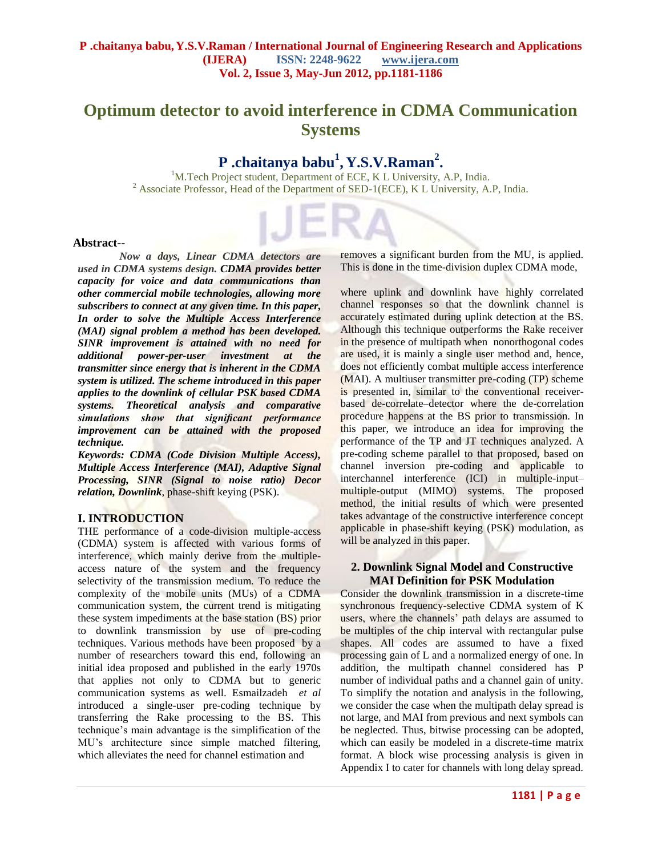# **Optimum detector to avoid interference in CDMA Communication Systems**

# **P .chaitanya babu<sup>1</sup> , Y.S.V.Raman<sup>2</sup> .**

<sup>1</sup>M.Tech Project student, Department of ECE, K L University, A.P, India. <sup>2</sup> Associate Professor, Head of the Department of SED-1(ECE), K L University, A.P, India.

#### **Abstract**--

*Now a days, Linear CDMA detectors are used in CDMA systems design. CDMA provides better capacity for voice and data communications than other commercial mobile technologies, allowing more subscribers to connect at any given time. In this paper, In order to solve the Multiple Access Interference (MAI) signal problem a method has been developed. SINR improvement is attained with no need for additional power-per-user investment at the transmitter since energy that is inherent in the CDMA system is utilized. The scheme introduced in this paper applies to the downlink of cellular PSK based CDMA systems. Theoretical analysis and comparative simulations show that significant performance improvement can be attained with the proposed technique.* 

*Keywords: CDMA (Code Division Multiple Access), Multiple Access Interference (MAI), Adaptive Signal Processing, SINR (Signal to noise ratio) Decor relation, Downlink*, phase-shift keying (PSK).

## **I. INTRODUCTION**

THE performance of a code-division multiple-access (CDMA) system is affected with various forms of interference, which mainly derive from the multipleaccess nature of the system and the frequency selectivity of the transmission medium. To reduce the complexity of the mobile units (MUs) of a CDMA communication system, the current trend is mitigating these system impediments at the base station (BS) prior to downlink transmission by use of pre-coding techniques. Various methods have been proposed by a number of researchers toward this end, following an initial idea proposed and published in the early 1970s that applies not only to CDMA but to generic communication systems as well. Esmailzadeh *et al*  introduced a single-user pre-coding technique by transferring the Rake processing to the BS. This technique's main advantage is the simplification of the MU's architecture since simple matched filtering, which alleviates the need for channel estimation and

removes a significant burden from the MU, is applied. This is done in the time-division duplex CDMA mode,

where uplink and downlink have highly correlated channel responses so that the downlink channel is accurately estimated during uplink detection at the BS. Although this technique outperforms the Rake receiver in the presence of multipath when nonorthogonal codes are used, it is mainly a single user method and, hence, does not efficiently combat multiple access interference (MAI). A multiuser transmitter pre-coding (TP) scheme is presented in, similar to the conventional receiverbased de-correlate–detector where the de-correlation procedure happens at the BS prior to transmission. In this paper, we introduce an idea for improving the performance of the TP and JT techniques analyzed. A pre-coding scheme parallel to that proposed, based on channel inversion pre-coding and applicable to interchannel interference (ICI) in multiple-input– multiple-output (MIMO) systems. The proposed method, the initial results of which were presented takes advantage of the constructive interference concept applicable in phase-shift keying (PSK) modulation, as will be analyzed in this paper.

## **2. Downlink Signal Model and Constructive MAI Definition for PSK Modulation**

Consider the downlink transmission in a discrete-time synchronous frequency-selective CDMA system of K users, where the channels' path delays are assumed to be multiples of the chip interval with rectangular pulse shapes. All codes are assumed to have a fixed processing gain of L and a normalized energy of one. In addition, the multipath channel considered has P number of individual paths and a channel gain of unity. To simplify the notation and analysis in the following, we consider the case when the multipath delay spread is not large, and MAI from previous and next symbols can be neglected. Thus, bitwise processing can be adopted, which can easily be modeled in a discrete-time matrix format. A block wise processing analysis is given in Appendix I to cater for channels with long delay spread.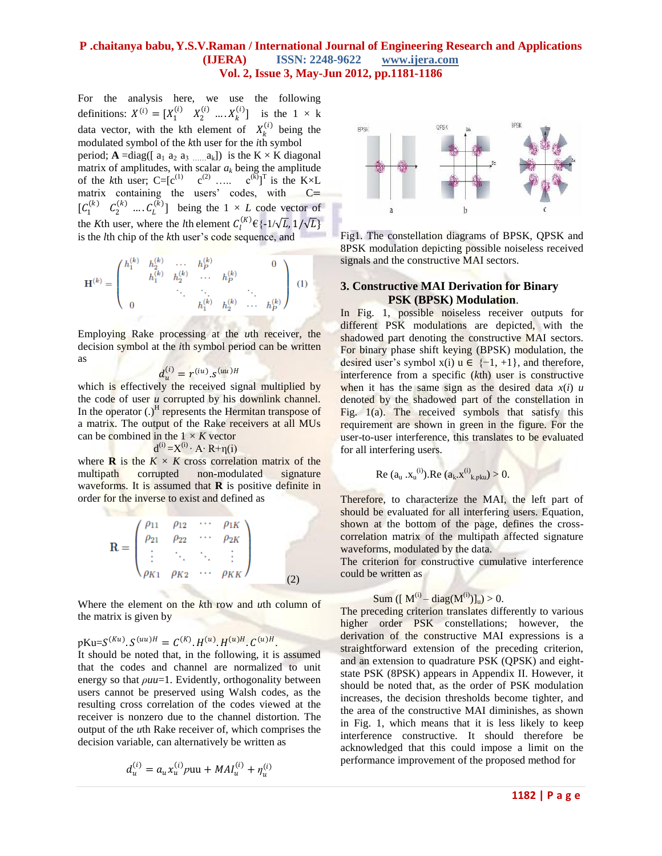For the analysis here, we use the following definitions:  $X^{(i)} = [X_1^{(i)} \ X_2^{(i)} \dots X_k^{(i)}]$  is the  $1 \times k$ data vector, with the kth element of  $X_k^{(i)}$  being the modulated symbol of the *k*th user for the *i*th symbol period;  $A = diag([a_1 a_2 a_3 ... a_k])$  is the  $K \times K$  diagonal matrix of amplitudes, with scalar  $a_k$  being the amplitude of the *k*th user;  $C = [c^{(1)} \quad c^{(2)} \quad \dots \quad c^{(k)}]^T$  is the K×L matrix containing the users' codes, with C=  $[C_1^{(k)} \quad C_2^{(k)} \quad \dots \quad C_L^{(k)}]$  being the  $1 \times L$  code vector of the *K*th user, where the *l*th element  $C_l^{(K)} \in \{-1/\sqrt{L}, 1/\sqrt{L}\}$ is the *l*th chip of the *k*th user's code sequence, and

$$
\mathbf{H}^{(k)} = \begin{pmatrix} h_1^{(k)} & h_2^{(k)} & \cdots & h_P^{(k)} & 0 \\ & h_1^{(k)} & h_2^{(k)} & \cdots & h_P^{(k)} & \\ & & \ddots & \ddots & \ddots & \\ 0 & & & h_1^{(k)} & h_2^{(k)} & \cdots & h_P^{(k)} \end{pmatrix}
$$
 (1)

Employing Rake processing at the *u*th receiver, the decision symbol at the *i*th symbol period can be written as

$$
d_u^{(i)} = r^{(iu)} . s^{(uu)H}
$$

which is effectively the received signal multiplied by the code of user *u* corrupted by his downlink channel. In the operator  $(.)^H$  represents the Hermitan transpose of a matrix. The output of the Rake receivers at all MUs can be combined in the  $1 \times K$  vector d<sub>d</sub> a bha an t-ainm

$$
^{(i)} = X^{(i)} \cdot A \cdot R + \eta(i)
$$

where **R** is the  $K \times K$  cross correlation matrix of the multipath corrupted non-modulated signature waveforms. It is assumed that **R** is positive definite in order for the inverse to exist and defined as

$$
\mathbf{R} = \begin{pmatrix} \rho_{11} & \rho_{12} & \cdots & \rho_{1K} \\ \rho_{21} & \rho_{22} & \cdots & \rho_{2K} \\ \vdots & \ddots & \ddots & \vdots \\ \rho_{K1} & \rho_{K2} & \cdots & \rho_{KK} \end{pmatrix}
$$
 (2)

Where the element on the *k*th row and *u*th column of the matrix is given by

 $pKu=S^{(Ku)}. S^{(uu)H} = C^{(K)}. H^{(u)}. H^{(u)H}. C^{(u)H}.$ 

It should be noted that, in the following, it is assumed that the codes and channel are normalized to unit energy so that *ρuu*=1. Evidently, orthogonality between users cannot be preserved using Walsh codes, as the resulting cross correlation of the codes viewed at the receiver is nonzero due to the channel distortion. The output of the *u*th Rake receiver of, which comprises the decision variable, can alternatively be written as

$$
d_u^{(i)} = a_u x_u^{(i)} p u u + M A I_u^{(i)} + \eta_u^{(i)}
$$



Fig1. The constellation diagrams of BPSK, QPSK and 8PSK modulation depicting possible noiseless received signals and the constructive MAI sectors.

### **3. Constructive MAI Derivation for Binary PSK (BPSK) Modulation**.

In Fig. 1, possible noiseless receiver outputs for different PSK modulations are depicted, with the shadowed part denoting the constructive MAI sectors. For binary phase shift keying (BPSK) modulation, the desired user's symbol  $x(i)$   $u \in \{-1, +1\}$ , and therefore, interference from a specific (*k*th) user is constructive when it has the same sign as the desired data  $x(i)$  *u* denoted by the shadowed part of the constellation in Fig. 1(a). The received symbols that satisfy this requirement are shown in green in the figure. For the user-to-user interference, this translates to be evaluated for all interfering users.

Re 
$$
(a_u, x_u^{(i)})
$$
. Re  $(a_k, x^{(i)}_{k, pku}) > 0$ .

Therefore, to characterize the MAI, the left part of should be evaluated for all interfering users. Equation, shown at the bottom of the page, defines the crosscorrelation matrix of the multipath affected signature waveforms, modulated by the data.

The criterion for constructive cumulative interference could be written as

# Sum  $([ M^{(i)} - diag(M^{(i)})]_u) > 0.$

The preceding criterion translates differently to various higher order PSK constellations; however, the derivation of the constructive MAI expressions is a straightforward extension of the preceding criterion, and an extension to quadrature PSK (QPSK) and eightstate PSK (8PSK) appears in Appendix II. However, it should be noted that, as the order of PSK modulation increases, the decision thresholds become tighter, and the area of the constructive MAI diminishes, as shown in Fig. 1, which means that it is less likely to keep interference constructive. It should therefore be acknowledged that this could impose a limit on the performance improvement of the proposed method for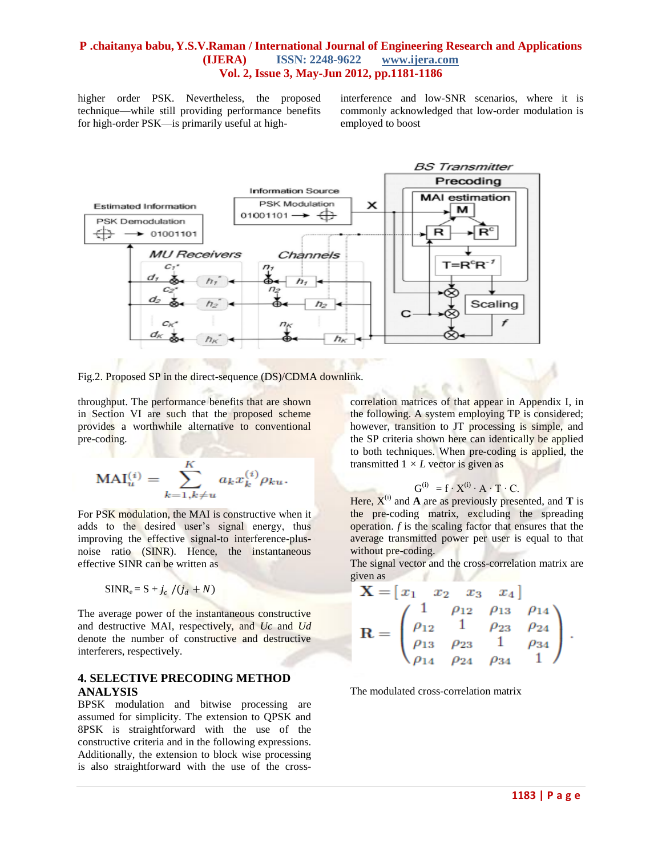higher order PSK. Nevertheless, the proposed technique—while still providing performance benefits for high-order PSK—is primarily useful at highinterference and low-SNR scenarios, where it is commonly acknowledged that low-order modulation is employed to boost



Fig.2. Proposed SP in the direct-sequence (DS)/CDMA downlink.

throughput. The performance benefits that are shown in Section VI are such that the proposed scheme provides a worthwhile alternative to conventional pre-coding.

$$
MAI_u^{(i)} = \sum_{k=1, k \neq u}^{K} a_k x_k^{(i)} \rho_{ku}.
$$

For PSK modulation, the MAI is constructive when it adds to the desired user's signal energy, thus improving the effective signal-to interference-plusnoise ratio (SINR). Hence, the instantaneous effective SINR can be written as

$$
SINR_e = S + j_c / (j_d + N)
$$

The average power of the instantaneous constructive and destructive MAI, respectively, and *Uc* and *Ud*  denote the number of constructive and destructive interferers, respectively.

# **4. SELECTIVE PRECODING METHOD ANALYSIS**

BPSK modulation and bitwise processing are assumed for simplicity. The extension to QPSK and 8PSK is straightforward with the use of the constructive criteria and in the following expressions. Additionally, the extension to block wise processing is also straightforward with the use of the cross-

correlation matrices of that appear in Appendix I, in the following. A system employing TP is considered; however, transition to JT processing is simple, and the SP criteria shown here can identically be applied to both techniques. When pre-coding is applied, the transmitted  $1 \times L$  vector is given as

$$
G^{(i)} = f \cdot X^{(i)} \cdot A \cdot T \cdot C.
$$

Here,  $X^{(i)}$  and **A** are as previously presented, and **T** is the pre-coding matrix, excluding the spreading operation. *f* is the scaling factor that ensures that the average transmitted power per user is equal to that without pre-coding.

The signal vector and the cross-correlation matrix are given as  $\mathcal{L}$  and

$$
\mathbf{X} = \begin{bmatrix} x_1 & x_2 & x_3 & x_4 \end{bmatrix}
$$

$$
\mathbf{R} = \begin{pmatrix} 1 & \rho_{12} & \rho_{13} & \rho_{14} \\ \rho_{12} & 1 & \rho_{23} & \rho_{24} \\ \rho_{13} & \rho_{23} & 1 & \rho_{34} \\ \rho_{14} & \rho_{24} & \rho_{34} & 1 \end{pmatrix}.
$$

The modulated cross-correlation matrix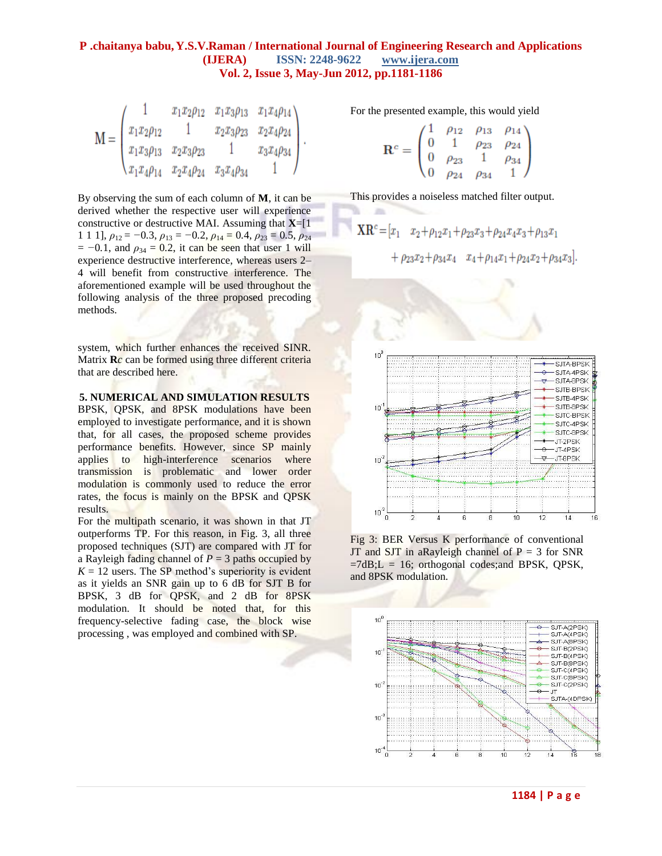$$
\mathbf{M} = \begin{pmatrix} 1 & x_1x_2\rho_{12} & x_1x_3\rho_{13} & x_1x_4\rho_{14} \\ x_1x_2\rho_{12} & 1 & x_2x_3\rho_{23} & x_2x_4\rho_{24} \\ x_1x_3\rho_{13} & x_2x_3\rho_{23} & 1 & x_3x_4\rho_{34} \\ x_1x_4\rho_{14} & x_2x_4\rho_{24} & x_3x_4\rho_{34} & 1 \end{pmatrix}
$$

By observing the sum of each column of **M**, it can be derived whether the respective user will experience constructive or destructive MAI. Assuming that **X**=[1 1 1 1],  $\rho_{12} = -0.3$ ,  $\rho_{13} = -0.2$ ,  $\rho_{14} = 0.4$ ,  $\rho_{23} = 0.5$ ,  $\rho_{24}$  $= -0.1$ , and  $\rho_{34} = 0.2$ , it can be seen that user 1 will experience destructive interference, whereas users 2– 4 will benefit from constructive interference. The aforementioned example will be used throughout the following analysis of the three proposed precoding methods.

system, which further enhances the received SINR. Matrix **R***c* can be formed using three different criteria that are described here.

**5. NUMERICAL AND SIMULATION RESULTS**

BPSK, QPSK, and 8PSK modulations have been employed to investigate performance, and it is shown that, for all cases, the proposed scheme provides performance benefits. However, since SP mainly applies to high-interference scenarios where transmission is problematic and lower order modulation is commonly used to reduce the error rates, the focus is mainly on the BPSK and QPSK results.

For the multipath scenario, it was shown in that JT outperforms TP. For this reason, in Fig. 3, all three proposed techniques (SJT) are compared with JT for a Rayleigh fading channel of  $P = 3$  paths occupied by  $K = 12$  users. The SP method's superiority is evident as it yields an SNR gain up to 6 dB for SJT B for BPSK, 3 dB for QPSK, and 2 dB for 8PSK modulation. It should be noted that, for this frequency-selective fading case, the block wise processing , was employed and combined with SP.

For the presented example, this would yield

$$
\mathbf{R}^c = \begin{pmatrix} 1 & \rho_{12} & \rho_{13} & \rho_{14} \\ 0 & 1 & \rho_{23} & \rho_{24} \\ 0 & \rho_{23} & 1 & \rho_{34} \\ 0 & \rho_{24} & \rho_{34} & 1 \end{pmatrix}
$$

This provides a noiseless matched filter output.

 $\mathbb{R}$ 

$$
XR^{c} = [x_{1} \quad x_{2} + \rho_{12}x_{1} + \rho_{23}x_{3} + \rho_{24}x_{4}x_{3} + \rho_{13}x_{1} + \rho_{23}x_{2} + \rho_{34}x_{4} \quad x_{4} + \rho_{14}x_{1} + \rho_{24}x_{2} + \rho_{34}x_{3}]
$$



Fig 3: BER Versus K performance of conventional JT and SJT in a<br>Rayleigh channel of  $P = 3$  for SNR  $=7dB$ ;  $L = 16$ ; orthogonal codes; and BPSK, QPSK, and 8PSK modulation.

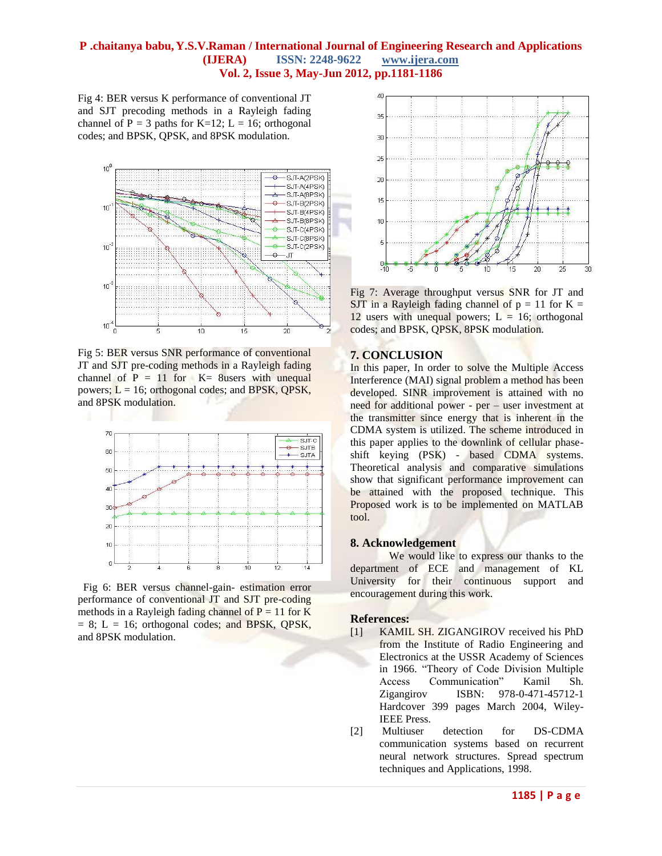Fig 4: BER versus K performance of conventional JT and SJT precoding methods in a Rayleigh fading channel of  $P = 3$  paths for K=12; L = 16; orthogonal codes; and BPSK, QPSK, and 8PSK modulation.



Fig 5: BER versus SNR performance of conventional JT and SJT pre-coding methods in a Rayleigh fading channel of  $P = 11$  for  $K = 8$ users with unequal powers;  $L = 16$ ; orthogonal codes; and BPSK, QPSK, and 8PSK modulation.



 Fig 6: BER versus channel-gain- estimation error performance of conventional JT and SJT pre-coding methods in a Rayleigh fading channel of  $P = 11$  for K  $= 8$ ; L  $= 16$ ; orthogonal codes; and BPSK, QPSK, and 8PSK modulation.



Fig 7: Average throughput versus SNR for JT and SJT in a Rayleigh fading channel of  $p = 11$  for  $K =$ 12 users with unequal powers;  $L = 16$ ; orthogonal codes; and BPSK, QPSK, 8PSK modulation.

### **7. CONCLUSION**

In this paper, In order to solve the Multiple Access Interference (MAI) signal problem a method has been developed. SINR improvement is attained with no need for additional power - per – user investment at the transmitter since energy that is inherent in the CDMA system is utilized. The scheme introduced in this paper applies to the downlink of cellular phaseshift keying (PSK) - based CDMA systems. Theoretical analysis and comparative simulations show that significant performance improvement can be attained with the proposed technique. This Proposed work is to be implemented on MATLAB tool.

#### **8. Acknowledgement**

We would like to express our thanks to the department of ECE and management of KL University for their continuous support and encouragement during this work.

#### **References:**

- [1] KAMIL SH. ZIGANGIROV received his PhD from the Institute of Radio Engineering and Electronics at the USSR Academy of Sciences in 1966. "Theory of Code Division Multiple Access Communication" Kamil Sh. [Zigangirov](http://as.wiley.com/WileyCDA/Section/id-302477.html?query=Kamil+Sh.+Zigangirov) ISBN: 978-0-471-45712-1 Hardcover 399 pages March 2004, Wiley-IEEE Press.
- [2] Multiuser detection for DS-CDMA communication systems based on recurrent neural network structures. Spread spectrum techniques and Applications, 1998.